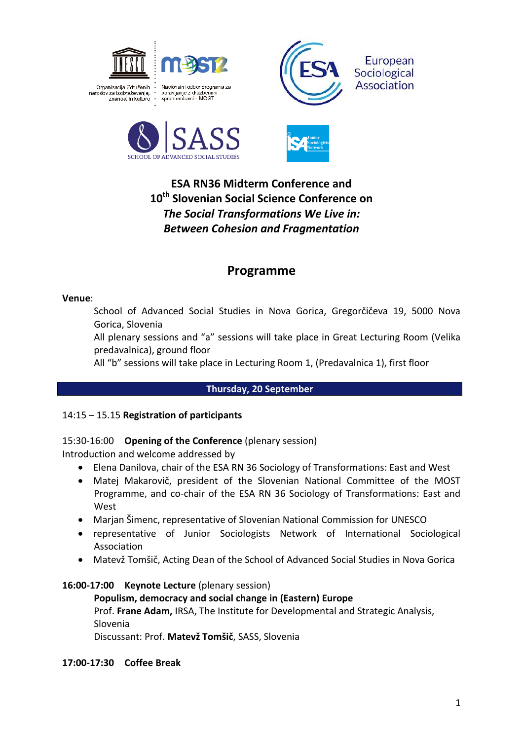







# **ESA RN36 Midterm Conference and 10th Slovenian Social Science Conference on** *The Social Transformations We Live in: Between Cohesion and Fragmentation*

# **Programme**

#### **Venue**:

School of Advanced Social Studies in Nova Gorica, Gregorčičeva 19, 5000 Nova Gorica, Slovenia

All plenary sessions and "a" sessions will take place in Great Lecturing Room (Velika predavalnica), ground floor

All "b" sessions will take place in Lecturing Room 1, (Predavalnica 1), first floor

### **Thursday, 20 September**

### 14:15 – 15.15 **Registration of participants**

## 15:30-16:00 **Opening of the Conference** (plenary session)

Introduction and welcome addressed by

- Elena Danilova, chair of the ESA RN 36 Sociology of Transformations: East and West
- Matej Makarovič, president of the Slovenian National Committee of the MOST Programme, and co-chair of the ESA RN 36 Sociology of Transformations: East and West
- Marjan Šimenc, representative of Slovenian National Commission for UNESCO
- representative of Junior Sociologists Network of International Sociological Association
- Matevž Tomšič, Acting Dean of the School of Advanced Social Studies in Nova Gorica

### **16:00-17:00 Keynote Lecture** (plenary session)

**Populism, democracy and social change in (Eastern) Europe** Prof. **Frane Adam,** IRSA, The Institute for Developmental and Strategic Analysis, Slovenia Discussant: Prof. **Matevž Tomšič**, SASS, Slovenia

**17:00-17:30 Coffee Break**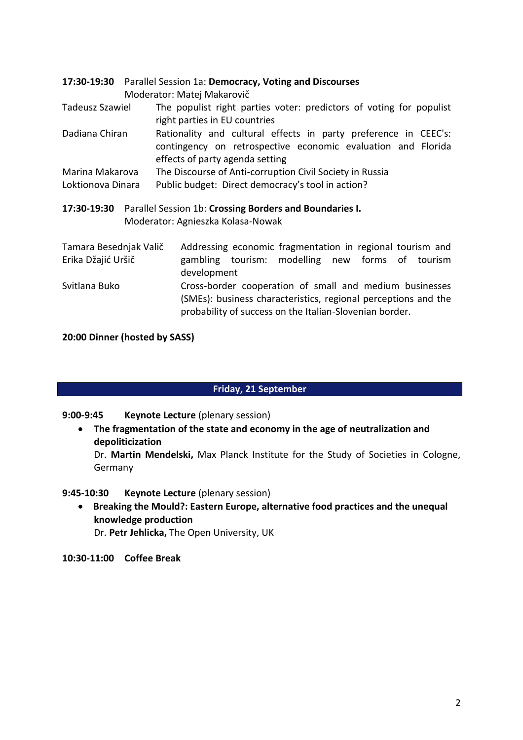|                                                                                                             |  | 17:30-19:30 Parallel Session 1a: Democracy, Voting and Discourses<br>Moderator: Matej Makarovič                                                                                      |  |  |  |  |
|-------------------------------------------------------------------------------------------------------------|--|--------------------------------------------------------------------------------------------------------------------------------------------------------------------------------------|--|--|--|--|
| <b>Tadeusz Szawiel</b>                                                                                      |  | The populist right parties voter: predictors of voting for populist<br>right parties in EU countries                                                                                 |  |  |  |  |
| Dadiana Chiran                                                                                              |  | Rationality and cultural effects in party preference in CEEC's:<br>contingency on retrospective economic evaluation and Florida<br>effects of party agenda setting                   |  |  |  |  |
| Marina Makarova                                                                                             |  | The Discourse of Anti-corruption Civil Society in Russia                                                                                                                             |  |  |  |  |
| Loktionova Dinara                                                                                           |  | Public budget: Direct democracy's tool in action?                                                                                                                                    |  |  |  |  |
| Parallel Session 1b: Crossing Borders and Boundaries I.<br>17:30-19:30<br>Moderator: Agnieszka Kolasa-Nowak |  |                                                                                                                                                                                      |  |  |  |  |
| Tamara Besednjak Valič<br>Erika Džajić Uršič                                                                |  | Addressing economic fragmentation in regional tourism and<br>gambling tourism: modelling new forms of tourism<br>development                                                         |  |  |  |  |
| Svitlana Buko                                                                                               |  | Cross-border cooperation of small and medium businesses<br>(SMEs): business characteristics, regional perceptions and the<br>probability of success on the Italian-Slovenian border. |  |  |  |  |

#### **20:00 Dinner (hosted by SASS)**

#### **Friday, 21 September**

**9:00-9:45 Keynote Lecture** (plenary session)

 **The fragmentation of the state and economy in the age of neutralization and depoliticization**

Dr. **Martin Mendelski,** Max Planck Institute for the Study of Societies in Cologne, Germany

**9:45-10:30 Keynote Lecture** (plenary session)

 **Breaking the Mould?: Eastern Europe, alternative food practices and the unequal knowledge production** Dr. **Petr Jehlicka,** The Open University, UK

**10:30-11:00 Coffee Break**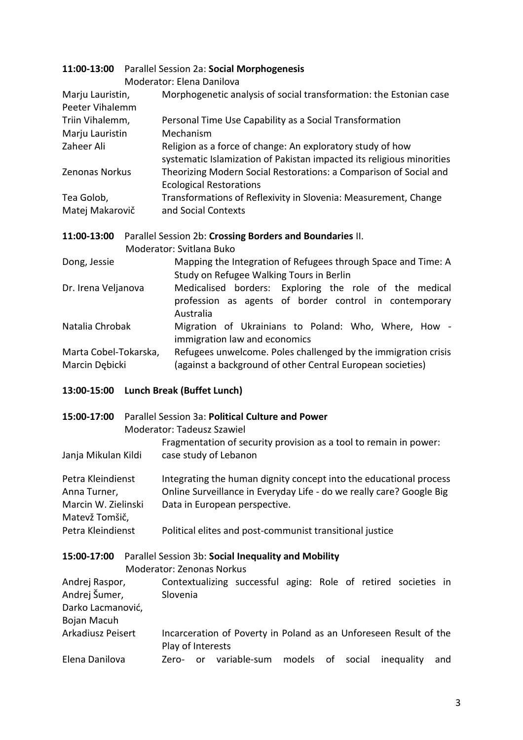|                       | 11:00-13:00 Parallel Session 2a: Social Morphogenesis |                                                                       |  |  |  |  |
|-----------------------|-------------------------------------------------------|-----------------------------------------------------------------------|--|--|--|--|
|                       |                                                       | Moderator: Elena Danilova                                             |  |  |  |  |
| Marju Lauristin,      |                                                       | Morphogenetic analysis of social transformation: the Estonian case    |  |  |  |  |
| Peeter Vihalemm       |                                                       |                                                                       |  |  |  |  |
| Triin Vihalemm,       |                                                       | Personal Time Use Capability as a Social Transformation               |  |  |  |  |
| Marju Lauristin       |                                                       | Mechanism                                                             |  |  |  |  |
| Zaheer Ali            |                                                       | Religion as a force of change: An exploratory study of how            |  |  |  |  |
|                       |                                                       | systematic Islamization of Pakistan impacted its religious minorities |  |  |  |  |
| Zenonas Norkus        |                                                       | Theorizing Modern Social Restorations: a Comparison of Social and     |  |  |  |  |
|                       |                                                       | <b>Ecological Restorations</b>                                        |  |  |  |  |
| Tea Golob,            |                                                       | Transformations of Reflexivity in Slovenia: Measurement, Change       |  |  |  |  |
| Matej Makarovič       |                                                       | and Social Contexts                                                   |  |  |  |  |
|                       |                                                       |                                                                       |  |  |  |  |
| 11:00-13:00           |                                                       | Parallel Session 2b: Crossing Borders and Boundaries II.              |  |  |  |  |
|                       |                                                       | Moderator: Svitlana Buko                                              |  |  |  |  |
| Dong, Jessie          |                                                       | Mapping the Integration of Refugees through Space and Time: A         |  |  |  |  |
|                       |                                                       | Study on Refugee Walking Tours in Berlin                              |  |  |  |  |
| Dr. Irena Veljanova   |                                                       | Medicalised borders:<br>Exploring the role of the medical             |  |  |  |  |
|                       |                                                       | profession as agents of border control in contemporary                |  |  |  |  |
|                       |                                                       | Australia                                                             |  |  |  |  |
| Natalia Chrobak       |                                                       | Migration of Ukrainians to Poland: Who, Where, How -                  |  |  |  |  |
|                       |                                                       | immigration law and economics                                         |  |  |  |  |
| Marta Cobel-Tokarska, |                                                       | Refugees unwelcome. Poles challenged by the immigration crisis        |  |  |  |  |
| Marcin Dębicki        |                                                       | (against a background of other Central European societies)            |  |  |  |  |
|                       |                                                       |                                                                       |  |  |  |  |
|                       |                                                       |                                                                       |  |  |  |  |

# **13:00-15:00 Lunch Break (Buffet Lunch)**

| 15:00-17:00                                                                | Moderator: Tadeusz Szawiel       |                                                                                                                                                                             |                       | Parallel Session 3a: Political Culture and Power         |  |  |           | Fragmentation of security provision as a tool to remain in power: |     |
|----------------------------------------------------------------------------|----------------------------------|-----------------------------------------------------------------------------------------------------------------------------------------------------------------------------|-----------------------|----------------------------------------------------------|--|--|-----------|-------------------------------------------------------------------|-----|
| Janja Mikulan Kildi                                                        |                                  |                                                                                                                                                                             | case study of Lebanon |                                                          |  |  |           |                                                                   |     |
| Petra Kleindienst<br>Anna Turner,<br>Marcin W. Zielinski<br>Matevž Tomšič, |                                  | Integrating the human dignity concept into the educational process<br>Online Surveillance in Everyday Life - do we really care? Google Big<br>Data in European perspective. |                       |                                                          |  |  |           |                                                                   |     |
| Petra Kleindienst                                                          |                                  |                                                                                                                                                                             |                       | Political elites and post-communist transitional justice |  |  |           |                                                                   |     |
| 15:00-17:00                                                                | <b>Moderator: Zenonas Norkus</b> |                                                                                                                                                                             |                       | Parallel Session 3b: Social Inequality and Mobility      |  |  |           |                                                                   |     |
| Andrej Raspor,<br>Andrej Šumer,<br>Darko Lacmanović,<br>Bojan Macuh        |                                  | Slovenia                                                                                                                                                                    |                       |                                                          |  |  |           | Contextualizing successful aging: Role of retired societies in    |     |
| Arkadiusz Peisert                                                          |                                  |                                                                                                                                                                             | Play of Interests     |                                                          |  |  |           | Incarceration of Poverty in Poland as an Unforeseen Result of the |     |
| Elena Danilova                                                             |                                  | Zero-                                                                                                                                                                       |                       | or variable-sum models                                   |  |  | of social | inequality                                                        | and |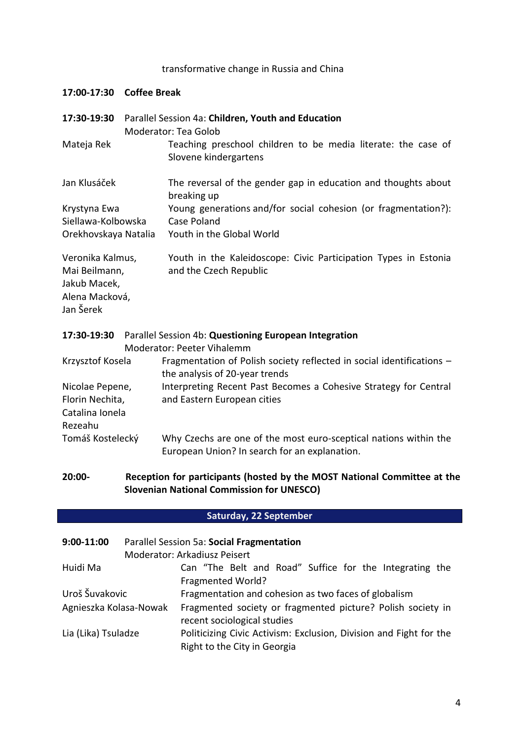## transformative change in Russia and China

**17:00-17:30 Coffee Break**

| 17:30-19:30                                                                      | Parallel Session 4a: Children, Youth and Education<br>Moderator: Tea Golob |                                                                                                                   |  |  |  |
|----------------------------------------------------------------------------------|----------------------------------------------------------------------------|-------------------------------------------------------------------------------------------------------------------|--|--|--|
| Mateja Rek                                                                       |                                                                            | Teaching preschool children to be media literate: the case of<br>Slovene kindergartens                            |  |  |  |
| Jan Klusáček                                                                     |                                                                            | The reversal of the gender gap in education and thoughts about<br>breaking up                                     |  |  |  |
| Krystyna Ewa<br>Siellawa-Kolbowska                                               |                                                                            | Young generations and/for social cohesion (or fragmentation?):<br>Case Poland                                     |  |  |  |
| Orekhovskaya Natalia                                                             |                                                                            | Youth in the Global World                                                                                         |  |  |  |
| Veronika Kalmus,<br>Mai Beilmann,<br>Jakub Macek,<br>Alena Macková,<br>Jan Šerek |                                                                            | Youth in the Kaleidoscope: Civic Participation Types in Estonia<br>and the Czech Republic                         |  |  |  |
|                                                                                  |                                                                            | 17:30-19:30 Parallel Session 4b: Questioning European Integration<br>Moderator: Peeter Vihalemm                   |  |  |  |
| Krzysztof Kosela                                                                 |                                                                            | Fragmentation of Polish society reflected in social identifications -<br>the analysis of 20-year trends           |  |  |  |
| Nicolae Pepene,<br>Florin Nechita,<br>Catalina Ionela<br>Rezeahu                 |                                                                            | Interpreting Recent Past Becomes a Cohesive Strategy for Central<br>and Eastern European cities                   |  |  |  |
| Tomáš Kostelecký                                                                 |                                                                            | Why Czechs are one of the most euro-sceptical nations within the<br>European Union? In search for an explanation. |  |  |  |

## **20:00- Reception for participants (hosted by the MOST National Committee at the Slovenian National Commission for UNESCO)**

# **Saturday, 22 September**

| $9:00-11:00$           | Parallel Session 5a: Social Fragmentation |                                                                                                    |  |  |  |  |
|------------------------|-------------------------------------------|----------------------------------------------------------------------------------------------------|--|--|--|--|
|                        |                                           | Moderator: Arkadiusz Peisert                                                                       |  |  |  |  |
| Huidi Ma               |                                           | Can "The Belt and Road" Suffice for the Integrating the                                            |  |  |  |  |
|                        |                                           | Fragmented World?                                                                                  |  |  |  |  |
| Uroš Šuvakovic         |                                           | Fragmentation and cohesion as two faces of globalism                                               |  |  |  |  |
| Agnieszka Kolasa-Nowak |                                           | Fragmented society or fragmented picture? Polish society in<br>recent sociological studies         |  |  |  |  |
| Lia (Lika) Tsuladze    |                                           | Politicizing Civic Activism: Exclusion, Division and Fight for the<br>Right to the City in Georgia |  |  |  |  |